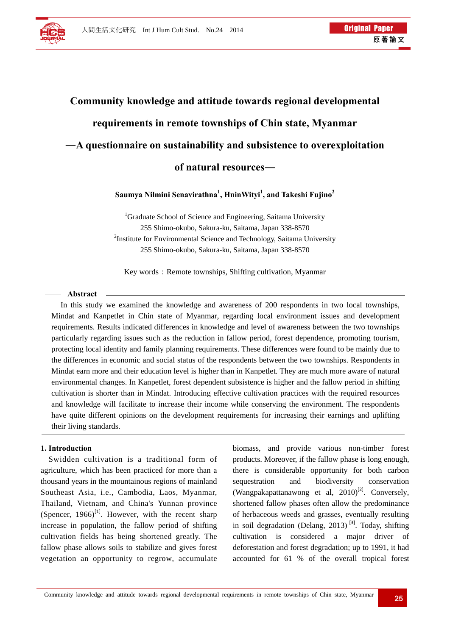

# **Community knowledge and attitude towards regional developmental requirements in remote townships of Chin state, Myanmar ―A questionnaire on sustainability and subsistence to overexploitation of natural resources―**

**Saumya Nilmini Senavirathna<sup>1</sup> , HninWityi1 , and Takeshi Fujino<sup>2</sup>**

<sup>1</sup>Graduate School of Science and Engineering, Saitama University 255 Shimo-okubo, Sakura-ku, Saitama, Japan 338-8570 <sup>2</sup>Institute for Environmental Science and Technology, Saitama University 255 Shimo-okubo, Sakura-ku, Saitama, Japan 338-8570

Key words: Remote townships, Shifting cultivation, Myanmar

#### **Abstract**

In this study we examined the knowledge and awareness of 200 respondents in two local townships, Mindat and Kanpetlet in Chin state of Myanmar, regarding local environment issues and development requirements. Results indicated differences in knowledge and level of awareness between the two townships particularly regarding issues such as the reduction in fallow period, forest dependence, promoting tourism, protecting local identity and family planning requirements. These differences were found to be mainly due to the differences in economic and social status of the respondents between the two townships. Respondents in Mindat earn more and their education level is higher than in Kanpetlet. They are much more aware of natural environmental changes. In Kanpetlet, forest dependent subsistence is higher and the fallow period in shifting cultivation is shorter than in Mindat. Introducing effective cultivation practices with the required resources and knowledge will facilitate to increase their income while conserving the environment. The respondents have quite different opinions on the development requirements for increasing their earnings and uplifting their living standards.

# **1. Introduction**

Swidden cultivation is a traditional form of agriculture, which has been practiced for more than a thousand years in the mountainous regions of mainland Southeast Asia, i.e., Cambodia, Laos, Myanmar, Thailand, Vietnam, and China's Yunnan province (Spencer,  $1966$ )<sup>[1]</sup>. However, with the recent sharp increase in population, the fallow period of shifting cultivation fields has being shortened greatly. The fallow phase allows soils to stabilize and gives forest vegetation an opportunity to regrow, accumulate biomass, and provide various non-timber forest products. Moreover, if the fallow phase is long enough, there is considerable opportunity for both carbon sequestration and biodiversity conservation (Wangpakapattanawong et al,  $2010$ <sup>[2]</sup>. Conversely, shortened fallow phases often allow the predominance of herbaceous weeds and grasses, eventually resulting in soil degradation (Delang,  $2013$ )<sup>[3]</sup>. Today, shifting cultivation is considered a major driver of deforestation and forest degradation; up to 1991, it had accounted for 61 % of the overall tropical forest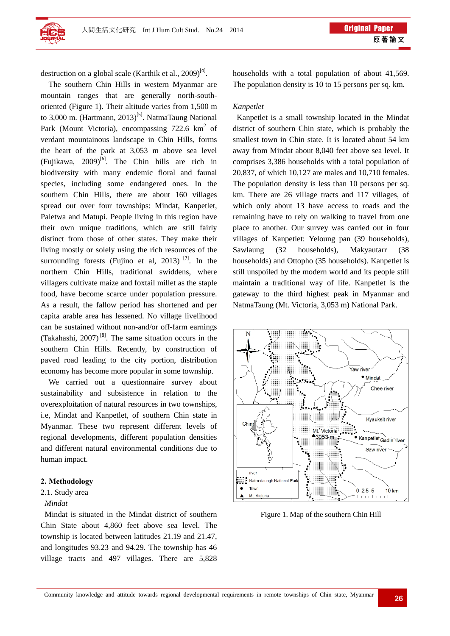

destruction on a global scale (Karthik et al.,  $2009$ <sup>[4]</sup>.

The southern Chin Hills in western Myanmar are mountain ranges that are generally north-southoriented (Figure 1). Their altitude varies from 1,500 m to 3,000 m. (Hartmann, 2013)<sup>[5]</sup>. NatmaTaung National Park (Mount Victoria), encompassing  $722.6 \text{ km}^2$  of verdant mountainous landscape in Chin Hills, forms the heart of the park at 3,053 m above sea level (Fujikawa,  $2009$ <sup>[6]</sup>. The Chin hills are rich in biodiversity with many endemic floral and faunal species, including some endangered ones. In the southern Chin Hills, there are about 160 villages spread out over four townships: Mindat, Kanpetlet, Paletwa and Matupi. People living in this region have their own unique traditions, which are still fairly distinct from those of other states. They make their living mostly or solely using the rich resources of the surrounding forests (Fujino et al, 2013)<sup>[7]</sup>. In the northern Chin Hills, traditional swiddens, where villagers cultivate maize and foxtail millet as the staple food, have become scarce under population pressure. As a result, the fallow period has shortened and per capita arable area has lessened. No village livelihood can be sustained without non-and/or off-farm earnings (Takahashi,  $2007$ <sup>[8]</sup>. The same situation occurs in the southern Chin Hills. Recently, by construction of paved road leading to the city portion, distribution economy has become more popular in some township.

We carried out a questionnaire survey about sustainability and subsistence in relation to the overexploitation of natural resources in two townships, i.e, Mindat and Kanpetlet, of southern Chin state in Myanmar. These two represent different levels of regional developments, different population densities and different natural environmental conditions due to human impact.

## **2. Methodology**

#### 2.1. Study area

#### *Mindat*

 Mindat is situated in the Mindat district of southern Chin State about 4,860 feet above sea level. The township is located between latitudes 21.19 and 21.47, and longitudes 93.23 and 94.29. The township has 46 village tracts and 497 villages. There are 5,828 households with a total population of about 41,569. The population density is 10 to 15 persons per sq. km.

## *Kanpetlet*

 Kanpetlet is a small township located in the Mindat district of southern Chin state, which is probably the smallest town in Chin state. It is located about 54 km away from Mindat about 8,040 feet above sea level. It comprises 3,386 households with a total population of 20,837, of which 10,127 are males and 10,710 females. The population density is less than 10 persons per sq. km. There are 26 village tracts and 117 villages, of which only about 13 have access to roads and the remaining have to rely on walking to travel from one place to another. Our survey was carried out in four villages of Kanpetlet: Yeloung pan (39 households), Sawlaung (32 households), Makyautarr (38 households) and Ottopho (35 households). Kanpetlet is still unspoiled by the modern world and its people still maintain a traditional way of life. Kanpetlet is the gateway to the third highest peak in Myanmar and NatmaTaung (Mt. Victoria, 3,053 m) National Park.



Figure 1. Map of the southern Chin Hill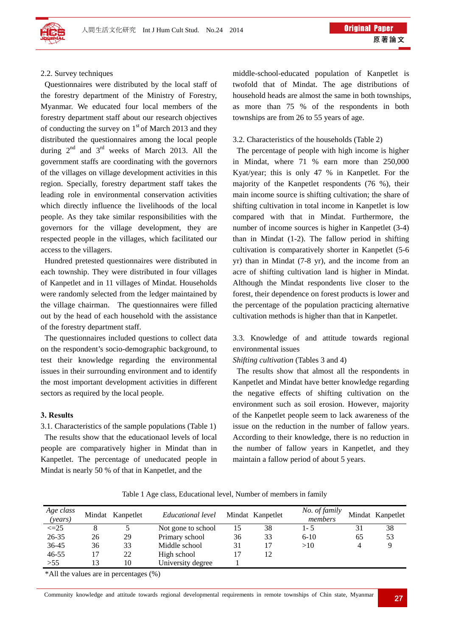

#### 2.2. Survey techniques

 Questionnaires were distributed by the local staff of the forestry department of the Ministry of Forestry, Myanmar. We educated four local members of the forestry department staff about our research objectives of conducting the survey on  $1<sup>st</sup>$  of March 2013 and they distributed the questionnaires among the local people during  $2<sup>nd</sup>$  and  $3<sup>rd</sup>$  weeks of March 2013. All the government staffs are coordinating with the governors of the villages on village development activities in this region. Specially, forestry department staff takes the leading role in environmental conservation activities which directly influence the livelihoods of the local people. As they take similar responsibilities with the governors for the village development, they are respected people in the villages, which facilitated our access to the villagers.

 Hundred pretested questionnaires were distributed in each township. They were distributed in four villages of Kanpetlet and in 11 villages of Mindat. Households were randomly selected from the ledger maintained by the village chairman. The questionnaires were filled out by the head of each household with the assistance of the forestry department staff.

 The questionnaires included questions to collect data on the respondent's socio-demographic background, to test their knowledge regarding the environmental issues in their surrounding environment and to identify the most important development activities in different sectors as required by the local people.

#### **3. Results**

3.1. Characteristics of the sample populations (Table 1) The results show that the educationaol levels of local people are comparatively higher in Mindat than in Kanpetlet. The percentage of uneducated people in Mindat is nearly 50 % of that in Kanpetlet, and the

middle-school-educated population of Kanpetlet is twofold that of Mindat. The age distributions of household heads are almost the same in both townships, as more than 75 % of the respondents in both townships are from 26 to 55 years of age.

#### 3.2. Characteristics of the households (Table 2)

 The percentage of people with high income is higher in Mindat, where 71 % earn more than 250,000 Kyat/year; this is only 47 % in Kanpetlet. For the majority of the Kanpetlet respondents (76 %), their main income source is shifting cultivation; the share of shifting cultivation in total income in Kanpetlet is low compared with that in Mindat. Furthermore, the number of income sources is higher in Kanpetlet (3-4) than in Mindat (1-2). The fallow period in shifting cultivation is comparatively shorter in Kanpetlet (5-6 yr) than in Mindat (7-8 yr), and the income from an acre of shifting cultivation land is higher in Mindat. Although the Mindat respondents live closer to the forest, their dependence on forest products is lower and the percentage of the population practicing alternative cultivation methods is higher than that in Kanpetlet.

3.3. Knowledge of and attitude towards regional environmental issues

## *Shifting cultivation* (Tables 3 and 4)

 The results show that almost all the respondents in Kanpetlet and Mindat have better knowledge regarding the negative effects of shifting cultivation on the environment such as soil erosion. However, majority of the Kanpetlet people seem to lack awareness of the issue on the reduction in the number of fallow years. According to their knowledge, there is no reduction in the number of fallow years in Kanpetlet, and they maintain a fallow period of about 5 years.

| Age class<br>(years) |    | Mindat Kanpetlet | Educational level  |    | Mindat Kanpetlet | No. of family<br>members |    | Mindat Kanpetlet |
|----------------------|----|------------------|--------------------|----|------------------|--------------------------|----|------------------|
| $\leq$ 25            |    |                  | Not gone to school | 15 | 38               | $1 - 5$                  | 31 | 38               |
| 26-35                | 26 | 29               | Primary school     | 36 | 33               | $6-10$                   | 65 | 53               |
| 36-45                | 36 | 33               | Middle school      | 31 | 17               | >10                      | 4  | 9                |
| $46 - 55$            | 17 | 22               | High school        | 17 | 12               |                          |    |                  |
| >55                  | 13 | 10               | University degree  |    |                  |                          |    |                  |

Table 1 Age class, Educational level, Number of members in family

\*All the values are in percentages (%)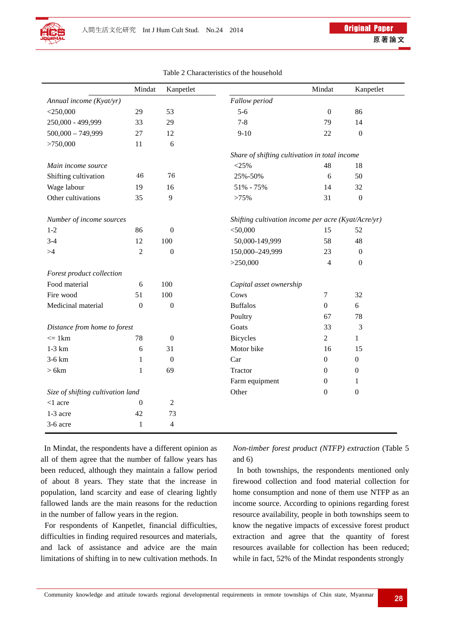

|                                   | Mindat           | Kanpetlet        |                                                     | Mindat           | Kanpetlet        |
|-----------------------------------|------------------|------------------|-----------------------------------------------------|------------------|------------------|
| Annual income (Kyat/yr)           |                  |                  | Fallow period                                       |                  |                  |
| $<$ 250,000                       | 29               | 53               | $5 - 6$                                             | $\boldsymbol{0}$ | 86               |
| 250,000 - 499,999                 | 33               | 29               | $7 - 8$                                             | 79               | 14               |
| $500,000 - 749,999$               | 27               | 12               | $9-10$                                              | 22               | $\boldsymbol{0}$ |
| >750,000                          | 11               | 6                |                                                     |                  |                  |
|                                   |                  |                  | Share of shifting cultivation in total income       |                  |                  |
| Main income source                |                  |                  | $<$ 25%                                             | 48               | 18               |
| Shifting cultivation              | $46\,$           | 76               | 25%-50%                                             | 6                | 50               |
| Wage labour                       | 19               | 16               | 51% - 75%                                           | 14               | 32               |
| Other cultivations                | 35               | 9                | >75%                                                | 31               | $\mathbf{0}$     |
| Number of income sources          |                  |                  | Shifting cultivation income per acre (Kyat/Acre/yr) |                  |                  |
| $1 - 2$                           | 86               | $\mathbf{0}$     | $<$ 50,000                                          | 15               | 52               |
| $3 - 4$                           | 12               | 100              | 50,000-149,999                                      | 58               | 48               |
| >4                                | $\overline{2}$   | $\overline{0}$   | 150,000-249,999                                     | 23               | $\boldsymbol{0}$ |
|                                   |                  |                  | >250,000                                            | 4                | $\boldsymbol{0}$ |
| Forest product collection         |                  |                  |                                                     |                  |                  |
| Food material                     | 6                | 100              | Capital asset ownership                             |                  |                  |
| Fire wood                         | 51               | 100              | Cows                                                | $\boldsymbol{7}$ | 32               |
| Medicinal material                | $\boldsymbol{0}$ | $\boldsymbol{0}$ | <b>Buffalos</b>                                     | $\boldsymbol{0}$ | 6                |
|                                   |                  |                  | Poultry                                             | 67               | 78               |
| Distance from home to forest      |                  |                  | Goats                                               | 33               | 3                |
| $\leq$ 1 km                       | 78               | $\theta$         | <b>Bicycles</b>                                     | $\mathbf{2}$     | $\mathbf{1}$     |
| $1-3$ km                          | 6                | 31               | Motor bike                                          | 16               | 15               |
| 3-6 km                            | 1                | $\mathbf{0}$     | Car                                                 | $\boldsymbol{0}$ | $\boldsymbol{0}$ |
| >6km                              | $\mathbf{1}$     | 69               | Tractor                                             | $\boldsymbol{0}$ | $\theta$         |
|                                   |                  |                  | Farm equipment                                      | $\theta$         | $\mathbf{1}$     |
| Size of shifting cultivation land |                  |                  | Other                                               | $\boldsymbol{0}$ | $\boldsymbol{0}$ |
| $<$ 1 acre                        | $\boldsymbol{0}$ | $\mathbf{2}$     |                                                     |                  |                  |
| 1-3 acre                          | 42               | 73               |                                                     |                  |                  |
| 3-6 acre                          | $\mathbf{1}$     | $\overline{4}$   |                                                     |                  |                  |

Table 2 Characteristics of the household

In Mindat, the respondents have a different opinion as all of them agree that the number of fallow years has been reduced, although they maintain a fallow period of about 8 years. They state that the increase in population, land scarcity and ease of clearing lightly fallowed lands are the main reasons for the reduction in the number of fallow years in the region.

 For respondents of Kanpetlet, financial difficulties, difficulties in finding required resources and materials, and lack of assistance and advice are the main limitations of shifting in to new cultivation methods. In *Non-timber forest product (NTFP) extraction* (Table 5 and 6)

 In both townships, the respondents mentioned only firewood collection and food material collection for home consumption and none of them use NTFP as an income source. According to opinions regarding forest resource availability, people in both townships seem to know the negative impacts of excessive forest product extraction and agree that the quantity of forest resources available for collection has been reduced; while in fact, 52% of the Mindat respondents strongly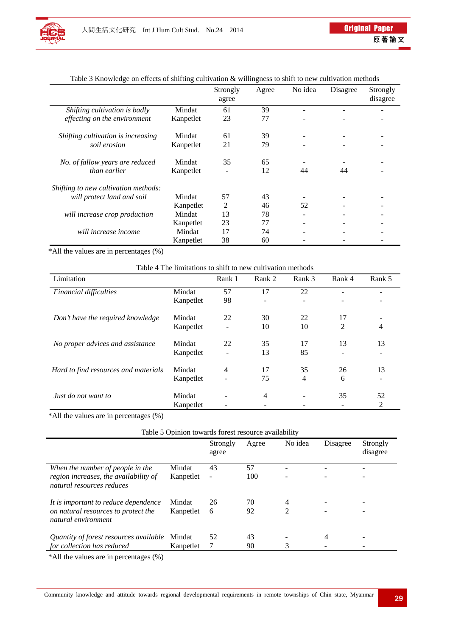

|                                      |           | Strongly<br>agree | Agree | No idea                  | Disagree | Strongly<br>disagree |
|--------------------------------------|-----------|-------------------|-------|--------------------------|----------|----------------------|
| Shifting cultivation is badly        | Mindat    | 61                | 39    |                          |          |                      |
| effecting on the environment         | Kanpetlet | 23                | 77    |                          |          |                      |
| Shifting cultivation is increasing   | Mindat    | 61                | 39    | $\overline{\phantom{a}}$ |          |                      |
| soil erosion                         | Kanpetlet | 21                | 79    |                          |          |                      |
| No. of fallow years are reduced      | Mindat    | 35                | 65    |                          |          |                      |
| than earlier                         | Kanpetlet |                   | 12    | 44                       | 44       |                      |
| Shifting to new cultivation methods: |           |                   |       |                          |          |                      |
| will protect land and soil           | Mindat    | 57                | 43    |                          |          |                      |
|                                      | Kanpetlet | 2                 | 46    | 52                       |          |                      |
| will increase crop production        | Mindat    | 13                | 78    |                          |          |                      |
|                                      | Kanpetlet | 23                | 77    |                          |          |                      |
| will increase income                 | Mindat    | 17                | 74    |                          |          |                      |
|                                      | Kanpetlet | 38                | 60    |                          |          |                      |

# Table 3 Knowledge on effects of shifting cultivation & willingness to shift to new cultivation methods

\*All the values are in percentages (%)

# Table 4 The limitations to shift to new cultivation methods

| Limitation                           |           | Rank 1 | Rank 2         | Rank 3                   | Rank 4                   | Rank 5 |
|--------------------------------------|-----------|--------|----------------|--------------------------|--------------------------|--------|
| Financial difficulties               | Mindat    | 57     | 17             | 22                       | $\qquad \qquad -$        |        |
|                                      | Kanpetlet | 98     | ۰              | $\overline{\phantom{a}}$ | $\overline{\phantom{a}}$ |        |
| Don't have the required knowledge    | Mindat    | 22     | 30             | 22                       | 17                       |        |
|                                      | Kanpetlet |        | 10             | 10                       | 2                        | 4      |
| No proper advices and assistance     | Mindat    | 22     | 35             | 17                       | 13                       | 13     |
|                                      | Kanpetlet |        | 13             | 85                       | $\blacksquare$           |        |
| Hard to find resources and materials | Mindat    | 4      | 17             | 35                       | 26                       | 13     |
|                                      | Kanpetlet |        | 75             | 4                        | 6                        |        |
| Just do not want to                  | Mindat    |        | $\overline{4}$ | -                        | 35                       | 52     |
|                                      | Kanpetlet |        |                |                          |                          | 2      |

\*All the values are in percentages (%)

# Table 5 Opinion towards forest resource availability

|                                                                    |           | Strongly<br>agree        | Agree | No idea | Disagree | Strongly<br>disagree |
|--------------------------------------------------------------------|-----------|--------------------------|-------|---------|----------|----------------------|
| When the number of people in the                                   | Mindat    | 43                       | 57    |         |          |                      |
| region increases, the availability of<br>natural resources reduces | Kanpetlet | $\overline{\phantom{a}}$ | 100   |         |          |                      |
| It is important to reduce dependence                               | Mindat    | 26                       | 70    | 4       |          |                      |
| on natural resources to protect the<br>natural environment         | Kanpetlet | 6                        | 92    | 2       |          |                      |
| Quantity of forest resources available                             | Mindat    | 52                       | 43    |         | 4        |                      |
| for collection has reduced                                         | Kanpetlet |                          | 90    |         |          |                      |

\*All the values are in percentages (%)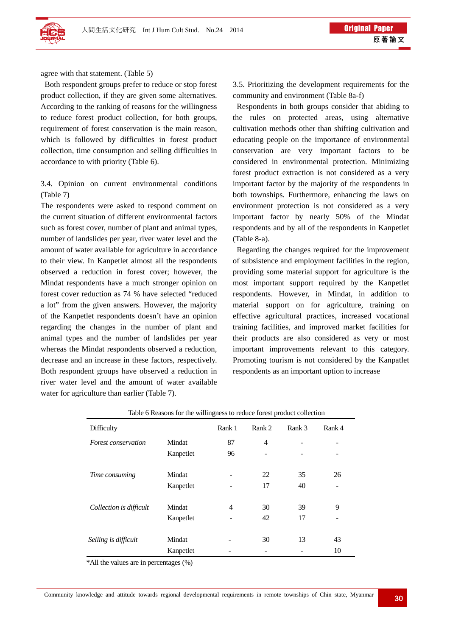

agree with that statement. (Table 5)

 Both respondent groups prefer to reduce or stop forest product collection, if they are given some alternatives. According to the ranking of reasons for the willingness to reduce forest product collection, for both groups, requirement of forest conservation is the main reason, which is followed by difficulties in forest product collection, time consumption and selling difficulties in accordance to with priority (Table 6).

3.4. Opinion on current environmental conditions (Table 7)

The respondents were asked to respond comment on the current situation of different environmental factors such as forest cover, number of plant and animal types, number of landslides per year, river water level and the amount of water available for agriculture in accordance to their view. In Kanpetlet almost all the respondents observed a reduction in forest cover; however, the Mindat respondents have a much stronger opinion on forest cover reduction as 74 % have selected "reduced a lot" from the given answers. However, the majority of the Kanpetlet respondents doesn't have an opinion regarding the changes in the number of plant and animal types and the number of landslides per year whereas the Mindat respondents observed a reduction, decrease and an increase in these factors, respectively. Both respondent groups have observed a reduction in river water level and the amount of water available water for agriculture than earlier (Table 7).

3.5. Prioritizing the development requirements for the community and environment (Table 8a-f)

 Respondents in both groups consider that abiding to the rules on protected areas, using alternative cultivation methods other than shifting cultivation and educating people on the importance of environmental conservation are very important factors to be considered in environmental protection. Minimizing forest product extraction is not considered as a very important factor by the majority of the respondents in both townships. Furthermore, enhancing the laws on environment protection is not considered as a very important factor by nearly 50% of the Mindat respondents and by all of the respondents in Kanpetlet (Table 8-a).

 Regarding the changes required for the improvement of subsistence and employment facilities in the region, providing some material support for agriculture is the most important support required by the Kanpetlet respondents. However, in Mindat, in addition to material support on for agriculture, training on effective agricultural practices, increased vocational training facilities, and improved market facilities for their products are also considered as very or most important improvements relevant to this category. Promoting tourism is not considered by the Kanpatlet respondents as an important option to increase

| Difficulty              |           | Rank 1 | Rank 2 | Rank 3 | Rank 4 |
|-------------------------|-----------|--------|--------|--------|--------|
| Forest conservation     | Mindat    | 87     | 4      |        | -      |
|                         | Kanpetlet | 96     |        |        |        |
| Time consuming          | Mindat    |        | 22     | 35     | 26     |
|                         | Kanpetlet |        | 17     | 40     |        |
| Collection is difficult | Mindat    | 4      | 30     | 39     | 9      |
|                         | Kanpetlet |        | 42     | 17     |        |
| Selling is difficult    | Mindat    | -      | 30     | 13     | 43     |
|                         | Kanpetlet |        |        |        | 10     |

Table 6 Reasons for the willingness to reduce forest product collection

\*All the values are in percentages (%)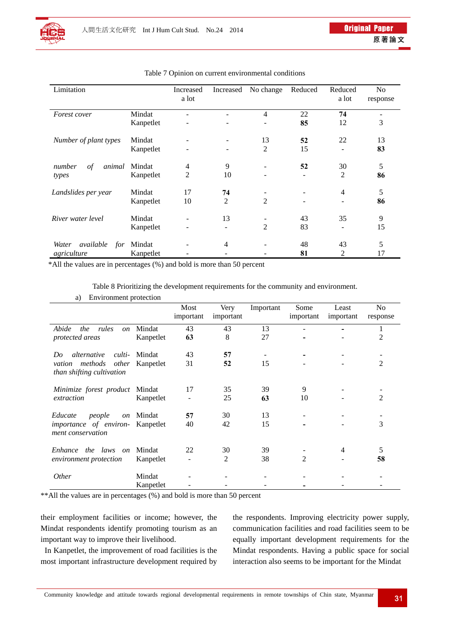

| Limitation                     |           | Increased<br>a lot | Increased      | No change      | Reduced | Reduced<br>a lot | N <sub>o</sub><br>response |
|--------------------------------|-----------|--------------------|----------------|----------------|---------|------------------|----------------------------|
| Forest cover                   | Mindat    |                    |                | 4              | 22      | 74               | ۰                          |
|                                | Kanpetlet |                    |                |                | 85      | 12               | 3                          |
| Number of plant types          | Mindat    |                    |                | 13             | 52      | 22               | 13                         |
|                                | Kanpetlet |                    |                | $\overline{2}$ | 15      |                  | 83                         |
| number<br>$\sigma f$<br>animal | Mindat    | $\overline{4}$     | 9              |                | 52      | 30               | 5                          |
| types                          | Kanpetlet | $\overline{2}$     | 10             |                | ۰       | $\overline{2}$   | 86                         |
| Landslides per year            | Mindat    | 17                 | 74             |                |         | $\overline{4}$   | 5                          |
|                                | Kanpetlet | 10                 | $\overline{2}$ | 2              |         |                  | 86                         |
| River water level              | Mindat    |                    | 13             |                | 43      | 35               | 9                          |
|                                | Kanpetlet |                    | ۰              | $\overline{2}$ | 83      |                  | 15                         |
| available<br>Water<br>for      | Mindat    |                    | $\overline{4}$ |                | 48      | 43               | 5                          |
| agriculture                    | Kanpetlet |                    |                |                | 81      | 2                | 17                         |

#### Table 7 Opinion on current environmental conditions

\*All the values are in percentages (%) and bold is more than 50 percent

Table 8 Prioritizing the development requirements for the community and environment.

|                                                           |           | Most<br>important | Very<br>important | Important | Some<br>important | Least<br>important | No<br>response |
|-----------------------------------------------------------|-----------|-------------------|-------------------|-----------|-------------------|--------------------|----------------|
| Abide<br>the<br>rules<br><sub>on</sub>                    | Mindat    | 43                | 43                | 13        |                   |                    | 1              |
| protected areas                                           | Kanpetlet | 63                | 8                 | 27        |                   |                    | 2              |
| culti-<br>alternative<br>Do                               | Mindat    | 43                | 57                |           |                   |                    |                |
| vation methods<br>other<br>than shifting cultivation      | Kanpetlet | 31                | 52                | 15        |                   |                    | $\overline{2}$ |
| Minimize forest product                                   | Mindat    | 17                | 35                | 39        | 9                 |                    |                |
| extraction                                                | Kanpetlet |                   | 25                | 63        | 10                |                    | $\overline{2}$ |
| Educate<br>people<br>on                                   | Mindat    | 57                | 30                | 13        |                   |                    |                |
| <i>importance</i> of <i>environ-</i><br>ment conservation | Kanpetlet | 40                | 42                | 15        |                   |                    | 3              |
| Enhance the laws<br>$\overline{on}$                       | Mindat    | 22                | 30                | 39        |                   | 4                  | 5              |
| environment protection                                    | Kanpetlet |                   | 2                 | 38        | 2                 |                    | 58             |
| <i>Other</i>                                              | Mindat    |                   |                   |           |                   |                    |                |
|                                                           | Kanpetlet |                   |                   |           |                   |                    |                |

\*\*All the values are in percentages (%) and bold is more than 50 percent

their employment facilities or income; however, the Mindat respondents identify promoting tourism as an important way to improve their livelihood.

In Kanpetlet, the improvement of road facilities is the most important infrastructure development required by the respondents. Improving electricity power supply, communication facilities and road facilities seem to be equally important development requirements for the Mindat respondents. Having a public space for social interaction also seems to be important for the Mindat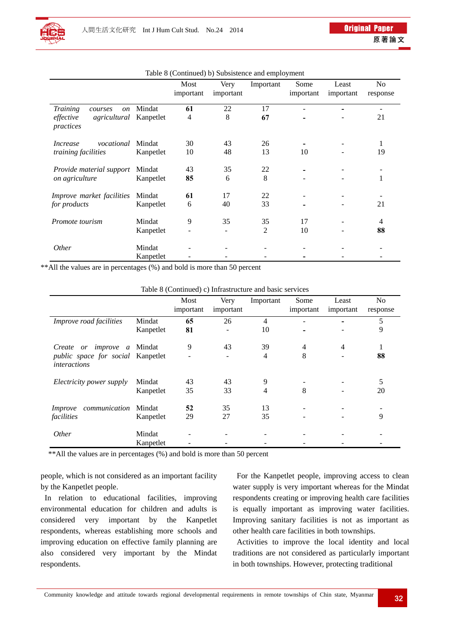|                                                         |           | Most      | Very      | Important | Some      | Least     | No             |
|---------------------------------------------------------|-----------|-----------|-----------|-----------|-----------|-----------|----------------|
|                                                         |           | important | important |           | important | important | response       |
| <b>Training</b><br>courses<br><i>on</i>                 | Mindat    | 61        | 22        | 17        |           |           |                |
| <i>agricultural</i> Kanpetlet<br>effective<br>practices |           | 4         | 8         | 67        |           |           | 21             |
| vocational<br><i>Increase</i>                           | Mindat    | 30        | 43        | 26        |           |           | 1              |
| training facilities                                     | Kanpetlet | 10        | 48        | 13        | 10        |           | 19             |
| Provide material support                                | Mindat    | 43        | 35        | 22        |           |           |                |
| on agriculture                                          | Kanpetlet | 85        | 6         | 8         |           |           |                |
| Improve market facilities                               | Mindat    | 61        | 17        | 22        |           |           |                |
| for products                                            | Kanpetlet | 6         | 40        | 33        |           |           | 21             |
| Promote tourism                                         | Mindat    | 9         | 35        | 35        | 17        |           | $\overline{4}$ |
|                                                         | Kanpetlet |           |           | 2         | 10        |           | 88             |
| <i>Other</i>                                            | Mindat    |           |           |           |           |           |                |
|                                                         | Kanpetlet |           |           |           |           |           |                |

Table 8 (Continued) b) Subsistence and employment

\*\*All the values are in percentages (%) and bold is more than 50 percent

| Table 8 (Continued) c) Infrastructure and basic services |  |  |
|----------------------------------------------------------|--|--|
|----------------------------------------------------------|--|--|

|                                                          |           | Most<br>important | Very<br>important | Important      | Some<br>important        | Least<br>important | N <sub>o</sub><br>response |
|----------------------------------------------------------|-----------|-------------------|-------------------|----------------|--------------------------|--------------------|----------------------------|
| Improve road facilities                                  | Mindat    | 65                | 26                | $\overline{4}$ |                          |                    | 5                          |
|                                                          | Kanpetlet | 81                |                   | 10             | $\overline{\phantom{a}}$ |                    | 9                          |
| Create or improve a Mindat                               |           | 9                 | 43                | 39             | 4                        | 4                  |                            |
| public space for social Kanpetlet<br><i>interactions</i> |           |                   |                   | $\overline{4}$ | 8                        | $\qquad \qquad$    | 88                         |
| Electricity power supply                                 | Mindat    | 43                | 43                | 9              |                          |                    | 5                          |
|                                                          | Kanpetlet | 35                | 33                | $\overline{4}$ | 8                        |                    | 20                         |
| communication<br>Improve                                 | Mindat    | 52                | 35                | 13             |                          |                    |                            |
| facilities                                               | Kanpetlet | 29                | 27                | 35             |                          |                    | 9                          |
| <i>Other</i>                                             | Mindat    |                   |                   |                |                          |                    |                            |
|                                                          | Kanpetlet |                   |                   |                |                          |                    |                            |

\*\*All the values are in percentages (%) and bold is more than 50 percent

people, which is not considered as an important facility by the Kanpetlet people.

 In relation to educational facilities, improving environmental education for children and adults is considered very important by the Kanpetlet respondents, whereas establishing more schools and improving education on effective family planning are also considered very important by the Mindat respondents.

 For the Kanpetlet people, improving access to clean water supply is very important whereas for the Mindat respondents creating or improving health care facilities is equally important as improving water facilities. Improving sanitary facilities is not as important as other health care facilities in both townships.

 Activities to improve the local identity and local traditions are not considered as particularly important in both townships. However, protecting traditional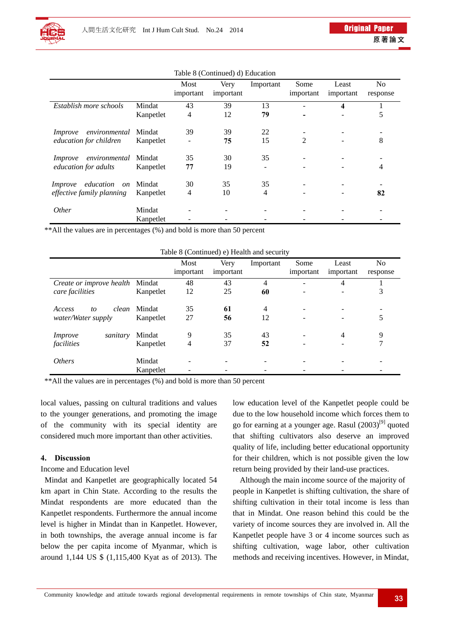|                            |           | Most<br>important | Very<br>important | Important      | Some<br>important | Least<br>important       | N <sub>0</sub><br>response |
|----------------------------|-----------|-------------------|-------------------|----------------|-------------------|--------------------------|----------------------------|
| Establish more schools     | Mindat    | 43                | 39                | 13             | ۰                 | 4                        |                            |
|                            | Kanpetlet | $\overline{4}$    | 12                | 79             |                   | $\overline{\phantom{a}}$ | 5                          |
| environmental<br>Improve   | Mindat    | 39                | 39                | 22             |                   |                          |                            |
| education for children     | Kanpetlet |                   | 75                | 15             | 2                 |                          | 8                          |
| environmental<br>Improve   | Mindat    | 35                | 30                | 35             |                   |                          |                            |
| education for adults       | Kanpetlet | 77                | 19                |                |                   |                          | 4                          |
| education<br>on<br>Improve | Mindat    | 30                | 35                | 35             |                   |                          |                            |
| effective family planning  | Kanpetlet | 4                 | 10                | $\overline{4}$ |                   |                          | 82                         |
| <i>Other</i>               | Mindat    |                   |                   |                |                   |                          |                            |
|                            | Kanpetlet |                   |                   |                |                   |                          |                            |

Table 8 (Continued) d) Education

\*\*All the values are in percentages (%) and bold is more than 50 percent

| Table 8 (Continued) e) Health and security |  |
|--------------------------------------------|--|
|--------------------------------------------|--|

|                            |           | Most      | Very      | Important | Some            | Least                        | N <sub>o</sub> |
|----------------------------|-----------|-----------|-----------|-----------|-----------------|------------------------------|----------------|
|                            |           | important | important |           | important       | important                    | response       |
| Create or improve health   | Mindat    | 48        | 43        | 4         |                 | 4                            |                |
| care facilities            | Kanpetlet | 12        | 25        | 60        |                 | $\overline{\phantom{a}}$     | 3              |
|                            |           |           |           |           |                 |                              |                |
| clean<br>Access<br>to      | Mindat    | 35        | 61        | 4         | $\qquad \qquad$ | $\overline{\phantom{a}}$     |                |
| water/Water supply         | Kanpetlet | 27        | 56        | 12        |                 |                              |                |
| sanitary<br><i>Improve</i> | Mindat    | 9         | 35        | 43        |                 | $\overline{4}$               | 9              |
| facilities                 | Kanpetlet | 4         | 37        | 52        |                 | $\qquad \qquad \blacksquare$ |                |
| <i>Others</i>              | Mindat    |           |           |           |                 |                              |                |
|                            | Kanpetlet |           |           |           |                 |                              |                |

\*\*All the values are in percentages (%) and bold is more than 50 percent

local values, passing on cultural traditions and values to the younger generations, and promoting the image of the community with its special identity are considered much more important than other activities.

# **4. Discussion**

# Income and Education level

 Mindat and Kanpetlet are geographically located 54 km apart in Chin State. According to the results the Mindat respondents are more educated than the Kanpetlet respondents. Furthermore the annual income level is higher in Mindat than in Kanpetlet. However, in both townships, the average annual income is far below the per capita income of Myanmar, which is around 1,144 US \$ (1,115,400 Kyat as of 2013). The low education level of the Kanpetlet people could be due to the low household income which forces them to go for earning at a younger age. Rasul  $(2003)^{9}$  quoted that shifting cultivators also deserve an improved quality of life, including better educational opportunity for their children, which is not possible given the low return being provided by their land-use practices.

Although the main income source of the majority of people in Kanpetlet is shifting cultivation, the share of shifting cultivation in their total income is less than that in Mindat. One reason behind this could be the variety of income sources they are involved in. All the Kanpetlet people have 3 or 4 income sources such as shifting cultivation, wage labor, other cultivation methods and receiving incentives. However, in Mindat,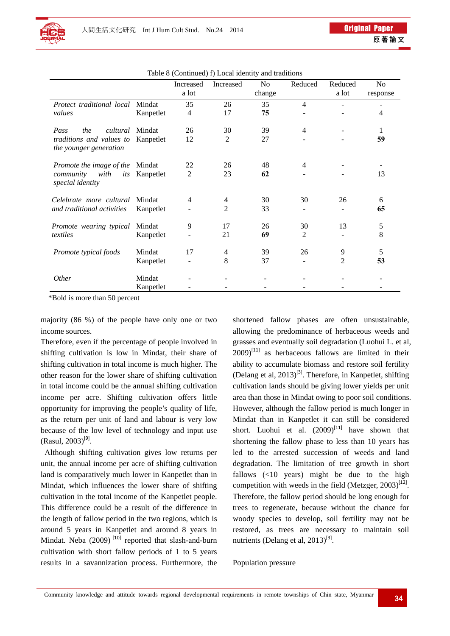|                                                                                                    |           | Increased      | Increased      | N <sub>0</sub> | Reduced        | Reduced | No            |
|----------------------------------------------------------------------------------------------------|-----------|----------------|----------------|----------------|----------------|---------|---------------|
|                                                                                                    |           | a lot          |                | change         |                | a lot   | response      |
| Protect traditional local Mindat<br>values                                                         |           | 35             | 26             | 35             | $\overline{4}$ |         |               |
|                                                                                                    | Kanpetlet | $\overline{4}$ | 17             | 75             |                |         | 4             |
| the<br><i>cultural</i> Mindat<br>Pass<br>traditions and values to<br><i>the younger generation</i> |           | 26             | 30             | 39             | $\overline{4}$ |         | 1             |
|                                                                                                    | Kanpetlet | 12             | 2              | 27             |                |         | 59            |
| Promote the image of the Mindat<br>community<br>with<br>its<br>special identity                    |           | 22             | 26             | 48             | 4              |         |               |
|                                                                                                    | Kanpetlet | $\overline{2}$ | 23             | 62             |                |         | 13            |
| Celebrate more cultural<br>and traditional activities                                              | Mindat    | 4              | 4              | 30             | 30             | 26      | 6             |
|                                                                                                    | Kanpetlet |                | 2              | 33             |                |         | 65            |
| Promote wearing typical<br>textiles                                                                | Mindat    | 9              | 17             | 26             | 30             | 13      | $\mathfrak s$ |
|                                                                                                    | Kanpetlet |                | 21             | 69             | 2              |         | 8             |
| Promote typical foods                                                                              | Mindat    | 17             | $\overline{4}$ | 39             | 26             | 9       | 5             |
|                                                                                                    | Kanpetlet |                | 8              | 37             |                | 2       | 53            |
| <i>Other</i>                                                                                       | Mindat    |                |                |                |                |         |               |
|                                                                                                    | Kanpetlet |                |                |                |                |         |               |

Table 8 (Continued) f) Local identity and traditions

\*Bold is more than 50 percent

majority (86 %) of the people have only one or two income sources.

Therefore, even if the percentage of people involved in shifting cultivation is low in Mindat, their share of shifting cultivation in total income is much higher. The other reason for the lower share of shifting cultivation in total income could be the annual shifting cultivation income per acre. Shifting cultivation offers little opportunity for improving the people's quality of life, as the return per unit of land and labour is very low because of the low level of technology and input use  $(Rasul, 2003)^{[9]}$ .

Although shifting cultivation gives low returns per unit, the annual income per acre of shifting cultivation land is comparatively much lower in Kanpetlet than in Mindat, which influences the lower share of shifting cultivation in the total income of the Kanpetlet people. This difference could be a result of the difference in the length of fallow period in the two regions, which is around 5 years in Kanpetlet and around 8 years in Mindat. Neba  $(2009)$ <sup>[10]</sup> reported that slash-and-burn cultivation with short fallow periods of 1 to 5 years results in a savannization process. Furthermore, the shortened fallow phases are often unsustainable, allowing the predominance of herbaceous weeds and grasses and eventually soil degradation (Luohui L. et al,  $2009$ <sup>[11]</sup> as herbaceous fallows are limited in their ability to accumulate biomass and restore soil fertility (Delang et al,  $2013$ <sup>[3]</sup>. Therefore, in Kanpetlet, shifting cultivation lands should be giving lower yields per unit area than those in Mindat owing to poor soil conditions. However, although the fallow period is much longer in Mindat than in Kanpetlet it can still be considered short. Luohui et al.  $(2009)^{[11]}$  have shown that shortening the fallow phase to less than 10 years has led to the arrested succession of weeds and land degradation. The limitation of tree growth in short fallows (<10 years) might be due to the high competition with weeds in the field (Metzger,  $2003$ )<sup>[12]</sup>. Therefore, the fallow period should be long enough for trees to regenerate, because without the chance for woody species to develop, soil fertility may not be restored, as trees are necessary to maintain soil nutrients (Delang et al,  $2013$ <sup>[3]</sup>.

Population pressure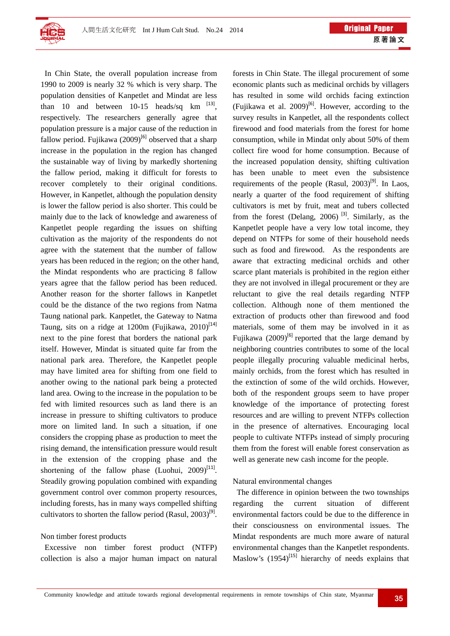

 In Chin State, the overall population increase from 1990 to 2009 is nearly 32 % which is very sharp. The population densities of Kanpetlet and Mindat are less than 10 and between  $10-15$  heads/sq km  $^{[13]}$ , respectively. The researchers generally agree that population pressure is a major cause of the reduction in fallow period. Fujikawa  $(2009)^{[6]}$  observed that a sharp increase in the population in the region has changed the sustainable way of living by markedly shortening the fallow period, making it difficult for forests to recover completely to their original conditions. However, in Kanpetlet, although the population density is lower the fallow period is also shorter. This could be mainly due to the lack of knowledge and awareness of Kanpetlet people regarding the issues on shifting cultivation as the majority of the respondents do not agree with the statement that the number of fallow years has been reduced in the region; on the other hand, the Mindat respondents who are practicing 8 fallow years agree that the fallow period has been reduced. Another reason for the shorter fallows in Kanpetlet could be the distance of the two regions from Natma Taung national park. Kanpetlet, the Gateway to Natma Taung, sits on a ridge at 1200m (Fujikawa,  $2010$ <sup>[14]</sup> next to the pine forest that borders the national park itself. However, Mindat is situated quite far from the national park area. Therefore, the Kanpetlet people may have limited area for shifting from one field to another owing to the national park being a protected land area. Owing to the increase in the population to be fed with limited resources such as land there is an increase in pressure to shifting cultivators to produce more on limited land. In such a situation, if one considers the cropping phase as production to meet the rising demand, the intensification pressure would result in the extension of the cropping phase and the shortening of the fallow phase (Luohui,  $2009$ <sup>[11]</sup>. Steadily growing population combined with expanding government control over common property resources, including forests, has in many ways compelled shifting cultivators to shorten the fallow period (Rasul,  $2003$ <sup>[9]</sup>.

## Non timber forest products

 Excessive non timber forest product (NTFP) collection is also a major human impact on natural forests in Chin State. The illegal procurement of some economic plants such as medicinal orchids by villagers has resulted in some wild orchids facing extinction (Fujikawa et al. 2009)<sup>[6]</sup>. However, according to the survey results in Kanpetlet, all the respondents collect firewood and food materials from the forest for home consumption, while in Mindat only about 50% of them collect fire wood for home consumption. Because of the increased population density, shifting cultivation has been unable to meet even the subsistence requirements of the people (Rasul,  $2003$ <sup>[9]</sup>. In Laos, nearly a quarter of the food requirement of shifting cultivators is met by fruit, meat and tubers collected from the forest (Delang, 2006)<sup>[3]</sup>. Similarly, as the Kanpetlet people have a very low total income, they depend on NTFPs for some of their household needs such as food and firewood. As the respondents are aware that extracting medicinal orchids and other scarce plant materials is prohibited in the region either they are not involved in illegal procurement or they are reluctant to give the real details regarding NTFP collection. Although none of them mentioned the extraction of products other than firewood and food materials, some of them may be involved in it as Fujikawa (2009)<sup>[6]</sup> reported that the large demand by neighboring countries contributes to some of the local people illegally procuring valuable medicinal herbs, mainly orchids, from the forest which has resulted in the extinction of some of the wild orchids. However, both of the respondent groups seem to have proper knowledge of the importance of protecting forest resources and are willing to prevent NTFPs collection in the presence of alternatives. Encouraging local people to cultivate NTFPs instead of simply procuring them from the forest will enable forest conservation as well as generate new cash income for the people.

#### Natural environmental changes

 The difference in opinion between the two townships regarding the current situation of different environmental factors could be due to the difference in their consciousness on environmental issues. The Mindat respondents are much more aware of natural environmental changes than the Kanpetlet respondents. Maslow's  $(1954)^{[15]}$  hierarchy of needs explains that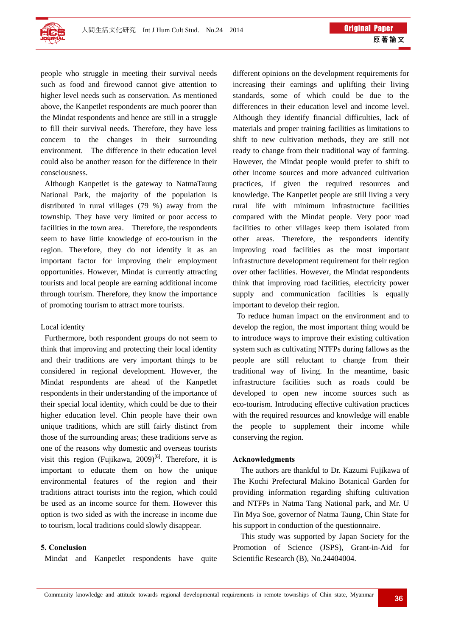

people who struggle in meeting their survival needs such as food and firewood cannot give attention to higher level needs such as conservation. As mentioned above, the Kanpetlet respondents are much poorer than the Mindat respondents and hence are still in a struggle to fill their survival needs. Therefore, they have less concern to the changes in their surrounding environment. The difference in their education level could also be another reason for the difference in their consciousness.

 Although Kanpetlet is the gateway to NatmaTaung National Park, the majority of the population is distributed in rural villages (79 %) away from the township. They have very limited or poor access to facilities in the town area. Therefore, the respondents seem to have little knowledge of eco-tourism in the region. Therefore, they do not identify it as an important factor for improving their employment opportunities. However, Mindat is currently attracting tourists and local people are earning additional income through tourism. Therefore, they know the importance of promoting tourism to attract more tourists.

## Local identity

 Furthermore, both respondent groups do not seem to think that improving and protecting their local identity and their traditions are very important things to be considered in regional development. However, the Mindat respondents are ahead of the Kanpetlet respondents in their understanding of the importance of their special local identity, which could be due to their higher education level. Chin people have their own unique traditions, which are still fairly distinct from those of the surrounding areas; these traditions serve as one of the reasons why domestic and overseas tourists visit this region (Fujikawa, 2009)<sup>[6]</sup>. Therefore, it is important to educate them on how the unique environmental features of the region and their traditions attract tourists into the region, which could be used as an income source for them. However this option is two sided as with the increase in income due to tourism, local traditions could slowly disappear.

## **5. Conclusion**

Mindat and Kanpetlet respondents have quite

different opinions on the development requirements for increasing their earnings and uplifting their living standards, some of which could be due to the differences in their education level and income level. Although they identify financial difficulties, lack of materials and proper training facilities as limitations to shift to new cultivation methods, they are still not ready to change from their traditional way of farming. However, the Mindat people would prefer to shift to other income sources and more advanced cultivation practices, if given the required resources and knowledge. The Kanpetlet people are still living a very rural life with minimum infrastructure facilities compared with the Mindat people. Very poor road facilities to other villages keep them isolated from other areas. Therefore, the respondents identify improving road facilities as the most important infrastructure development requirement for their region over other facilities. However, the Mindat respondents think that improving road facilities, electricity power supply and communication facilities is equally important to develop their region.

To reduce human impact on the environment and to develop the region, the most important thing would be to introduce ways to improve their existing cultivation system such as cultivating NTFPs during fallows as the people are still reluctant to change from their traditional way of living. In the meantime, basic infrastructure facilities such as roads could be developed to open new income sources such as eco-tourism. Introducing effective cultivation practices with the required resources and knowledge will enable the people to supplement their income while conserving the region.

#### **Acknowledgments**

The authors are thankful to Dr. Kazumi Fujikawa of The Kochi Prefectural Makino Botanical Garden for providing information regarding shifting cultivation and NTFPs in Natma Tang National park, and Mr. U Tin Mya Soe, governor of Natma Taung, Chin State for his support in conduction of the questionnaire.

This study was supported by Japan Society for the Promotion of Science (JSPS), Grant-in-Aid for Scientific Research (B), No.24404004.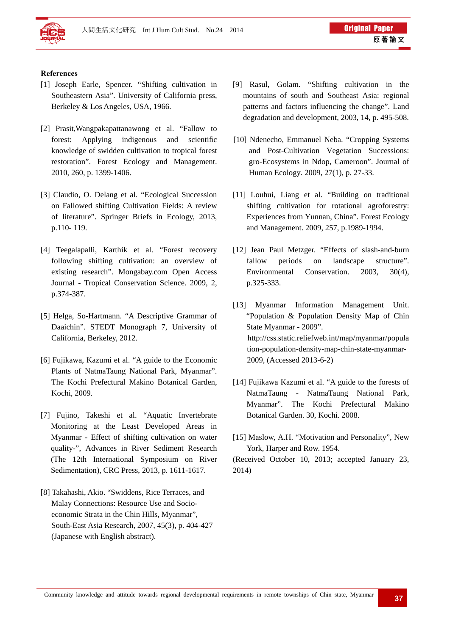

# **References**

- [1] Joseph Earle, Spencer. "Shifting cultivation in Southeastern Asia". University of California press, Berkeley & Los Angeles, USA, 1966.
- [2] Prasit,Wangpakapattanawong et al. "Fallow to forest: Applying indigenous and scientific knowledge of swidden cultivation to tropical forest restoration". Forest Ecology and Management. 2010, 260, p. 1399-1406.
- [3] Claudio, O. Delang et al. "Ecological Succession on Fallowed shifting Cultivation Fields: A review of literature". Springer Briefs in Ecology, 2013, p.110- 119.
- [4] Teegalapalli, Karthik et al. "Forest recovery following shifting cultivation: an overview of existing research". Mongabay.com Open Access Journal - Tropical Conservation Science. 2009, 2, p.374-387.
- [5] Helga, So-Hartmann. "A Descriptive Grammar of Daaichin". STEDT Monograph 7, University of California, Berkeley, 2012.
- [6] Fujikawa, Kazumi et al. "A guide to the Economic Plants of NatmaTaung National Park, Myanmar". The Kochi Prefectural Makino Botanical Garden, Kochi, 2009.
- [7] Fujino, Takeshi et al. "Aquatic Invertebrate Monitoring at the Least Developed Areas in Myanmar - Effect of shifting cultivation on water quality-", Advances in River Sediment Research (The 12th International Symposium on River Sedimentation), CRC Press, 2013, p. 1611-1617.
- [8] Takahashi, Akio. "Swiddens, Rice Terraces, and Malay Connections: Resource Use and Socioeconomic Strata in the Chin Hills, Myanmar", South-East Asia Research, 2007, 45(3), p. 404-427 (Japanese with English abstract).
- [9] Rasul, Golam. "Shifting cultivation in the mountains of south and Southeast Asia: regional patterns and factors influencing the change". Land degradation and development, 2003, 14, p. 495-508.
- [10] Ndenecho, Emmanuel Neba. "Cropping Systems and Post-Cultivation Vegetation Successions: gro-Ecosystems in Ndop, Cameroon". Journal of Human Ecology. 2009, 27(1), p. 27-33.
- [11] Louhui, Liang et al. "Building on traditional shifting cultivation for rotational agroforestry: Experiences from Yunnan, China". Forest Ecology and Management. 2009, 257, p.1989-1994.
- [12] Jean Paul Metzger. "Effects of slash-and-burn fallow periods on landscape structure". Environmental Conservation. 2003, 30(4), p.325-333.
- [13] Myanmar Information Management Unit. "Population & Population Density Map of Chin State Myanmar - 2009". http://css.static.reliefweb.int/map/myanmar/popula tion-population-density-map-chin-state-myanmar-2009, (Accessed 2013-6-2)
- [14] Fujikawa Kazumi et al. "A guide to the forests of NatmaTaung - NatmaTaung National Park, Myanmar". The Kochi Prefectural Makino Botanical Garden. 30, Kochi. 2008.
- [15] Maslow, A.H. "Motivation and Personality", New York, Harper and Row. 1954.

(Received October 10, 2013; accepted January 23, 2014)